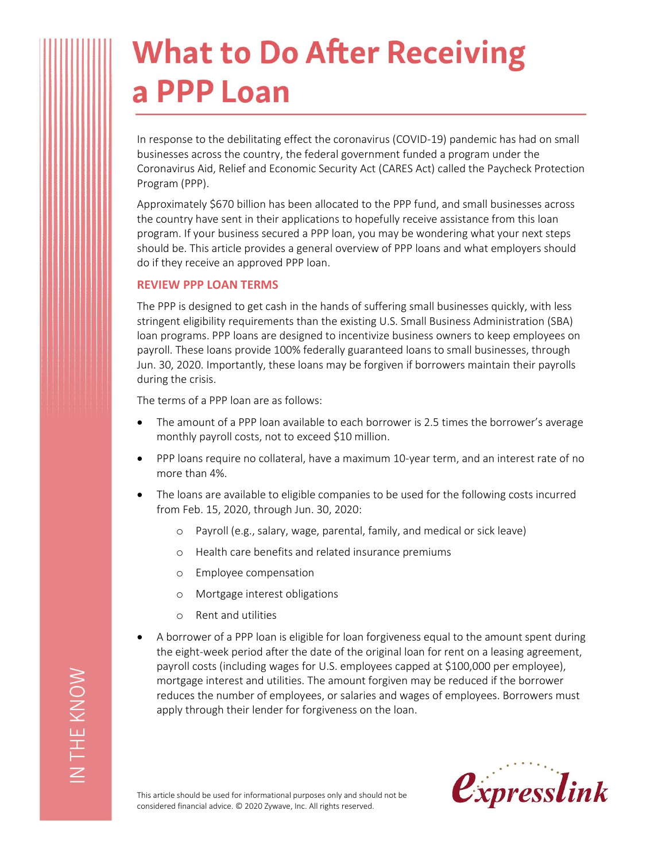# **What to Do After Receiving** a PPP Loan

In response to the debilitating effect the coronavirus (COVID-19) pandemic has had on small businesses across the country, the federal government funded a program under the Coronavirus Aid, Relief and Economic Security Act (CARES Act) called the Paycheck Protection Program (PPP).

Approximately \$670 billion has been allocated to the PPP fund, and small businesses across the country have sent in their applications to hopefully receive assistance from this loan program. If your business secured a PPP loan, you may be wondering what your next steps should be. This article provides a general overview of PPP loans and what employers should do if they receive an approved PPP loan.

#### **REVIEW PPP LOAN TERMS**

The PPP is designed to get cash in the hands of suffering small businesses quickly, with less stringent eligibility requirements than the existing U.S. Small Business Administration (SBA) loan programs. PPP loans are designed to incentivize business owners to keep employees on payroll. These loans provide 100% federally guaranteed loans to small businesses, through Jun. 30, 2020. Importantly, these loans may be forgiven if borrowers maintain their payrolls during the crisis.

The terms of a PPP loan are as follows:

- The amount of a PPP loan available to each borrower is 2.5 times the borrower's average monthly payroll costs, not to exceed \$10 million.
- PPP loans require no collateral, have a maximum 10-year term, and an interest rate of no more than 4%.
- The loans are available to eligible companies to be used for the following costs incurred from Feb. 15, 2020, through Jun. 30, 2020:
	- o Payroll (e.g., salary, wage, parental, family, and medical or sick leave)
	- o Health care benefits and related insurance premiums
	- o Employee compensation
	- o Mortgage interest obligations
	- o Rent and utilities
- A borrower of a PPP loan is eligible for loan forgiveness equal to the amount spent during the eight-week period after the date of the original loan for rent on a leasing agreement, payroll costs (including wages for U.S. employees capped at \$100,000 per employee), mortgage interest and utilities. The amount forgiven may be reduced if the borrower reduces the number of employees, or salaries and wages of employees. Borrowers must apply through their lender for forgiveness on the loan.

This article should be used for informational purposes only and should not be considered financial advice. © 2020 Zywave, Inc. All rights reserved.

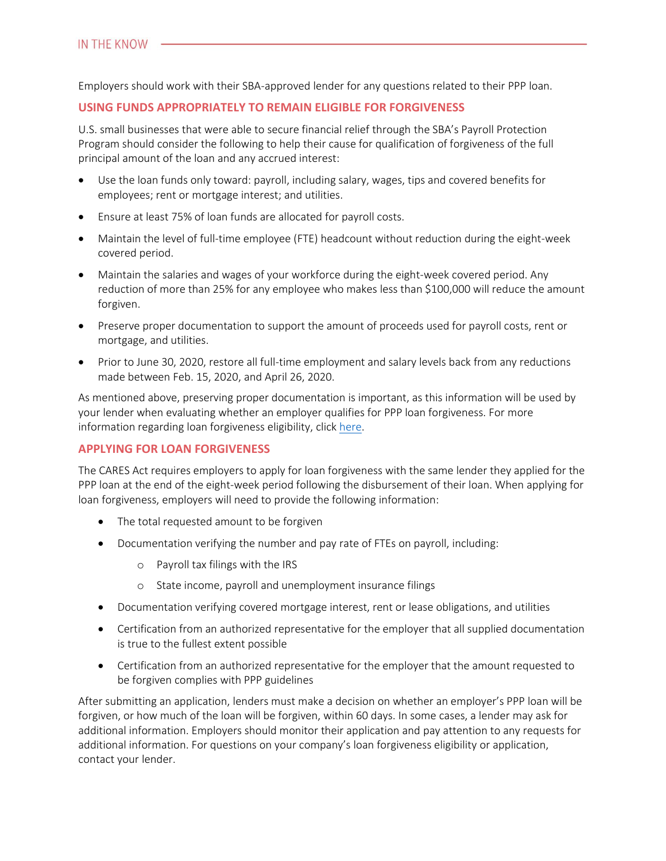Employers should work with their SBA-approved lender for any questions related to their PPP loan.

# **USING FUNDS APPROPRIATELY TO REMAIN ELIGIBLE FOR FORGIVENESS**

U.S. small businesses that were able to secure financial relief through the SBA's Payroll Protection Program should consider the following to help their cause for qualification of forgiveness of the full principal amount of the loan and any accrued interest:

- Use the loan funds only toward: payroll, including salary, wages, tips and covered benefits for employees; rent or mortgage interest; and utilities.
- Ensure at least 75% of loan funds are allocated for payroll costs.
- Maintain the level of full-time employee (FTE) headcount without reduction during the eight-week covered period.
- Maintain the salaries and wages of your workforce during the eight-week covered period. Any reduction of more than 25% for any employee who makes less than \$100,000 will reduce the amount forgiven.
- Preserve proper documentation to support the amount of proceeds used for payroll costs, rent or mortgage, and utilities.
- Prior to June 30, 2020, restore all full-time employment and salary levels back from any reductions made between Feb. 15, 2020, and April 26, 2020.

As mentioned above, preserving proper documentation is important, as this information will be used by your lender when evaluating whether an employer qualifies for PPP loan forgiveness. For more information regarding loan forgiveness eligibility, click [here.](https://www.sba.gov/funding-programs/loans/coronavirus-relief-options/paycheck-protection-program#section-header-7)

# **APPLYING FOR LOAN FORGIVENESS**

The CARES Act requires employers to apply for loan forgiveness with the same lender they applied for the PPP loan at the end of the eight-week period following the disbursement of their loan. When applying for loan forgiveness, employers will need to provide the following information:

- The total requested amount to be forgiven
- Documentation verifying the number and pay rate of FTEs on payroll, including:
	- o Payroll tax filings with the IRS
	- o State income, payroll and unemployment insurance filings
- Documentation verifying covered mortgage interest, rent or lease obligations, and utilities
- Certification from an authorized representative for the employer that all supplied documentation is true to the fullest extent possible
- Certification from an authorized representative for the employer that the amount requested to be forgiven complies with PPP guidelines

After submitting an application, lenders must make a decision on whether an employer's PPP loan will be forgiven, or how much of the loan will be forgiven, within 60 days. In some cases, a lender may ask for additional information. Employers should monitor their application and pay attention to any requests for additional information. For questions on your company's loan forgiveness eligibility or application, contact your lender.